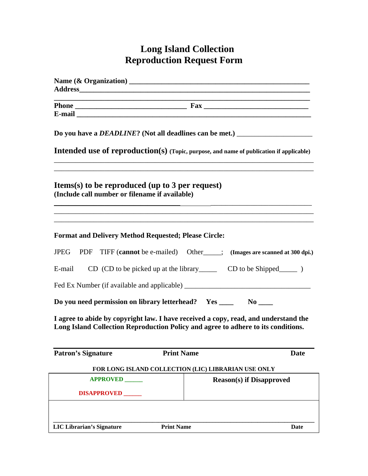## **Long Island Collection Reproduction Request Form**

| <b>Address</b>                                                                                                                                                                                                                                                                                        |                                                                                     |
|-------------------------------------------------------------------------------------------------------------------------------------------------------------------------------------------------------------------------------------------------------------------------------------------------------|-------------------------------------------------------------------------------------|
|                                                                                                                                                                                                                                                                                                       | ,我们也不能在这里的时候,我们也不能在这里的时候,我们也不能会在这里的时候,我们也不能会在这里的时候,我们也不能会在这里的时候,我们也不能会在这里的时候,我们也    |
|                                                                                                                                                                                                                                                                                                       |                                                                                     |
| Do you have a <i>DEADLINE</i> ? (Not all deadlines can be met.) _______________________<br><b>Intended use of reproduction(s)</b> (Topic, purpose, and name of publication if applicable)<br><b>Items(s)</b> to be reproduced (up to 3 per request)<br>(Include call number or filename if available) |                                                                                     |
|                                                                                                                                                                                                                                                                                                       |                                                                                     |
| E-mail                                                                                                                                                                                                                                                                                                | $CD (CD to be picked up at the library CD to be Shipped CP.)$                       |
|                                                                                                                                                                                                                                                                                                       |                                                                                     |
| Do you need permission on library letterhead? Yes _______ No _____                                                                                                                                                                                                                                    |                                                                                     |
| Long Island Collection Reproduction Policy and agree to adhere to its conditions.                                                                                                                                                                                                                     | I agree to abide by copyright law. I have received a copy, read, and understand the |
| <b>Patron's Signature</b><br><b>Print Name</b>                                                                                                                                                                                                                                                        | Date                                                                                |
|                                                                                                                                                                                                                                                                                                       | FOR LONG ISLAND COLLECTION (LIC) LIBRARIAN USE ONLY                                 |
| <b>APPROVED</b>                                                                                                                                                                                                                                                                                       | <b>Reason(s)</b> if Disapproved                                                     |
| <b>DISAPPROVED</b>                                                                                                                                                                                                                                                                                    |                                                                                     |
|                                                                                                                                                                                                                                                                                                       |                                                                                     |
| <b>LIC Librarian's Signature</b><br><b>Print Name</b>                                                                                                                                                                                                                                                 | Date                                                                                |